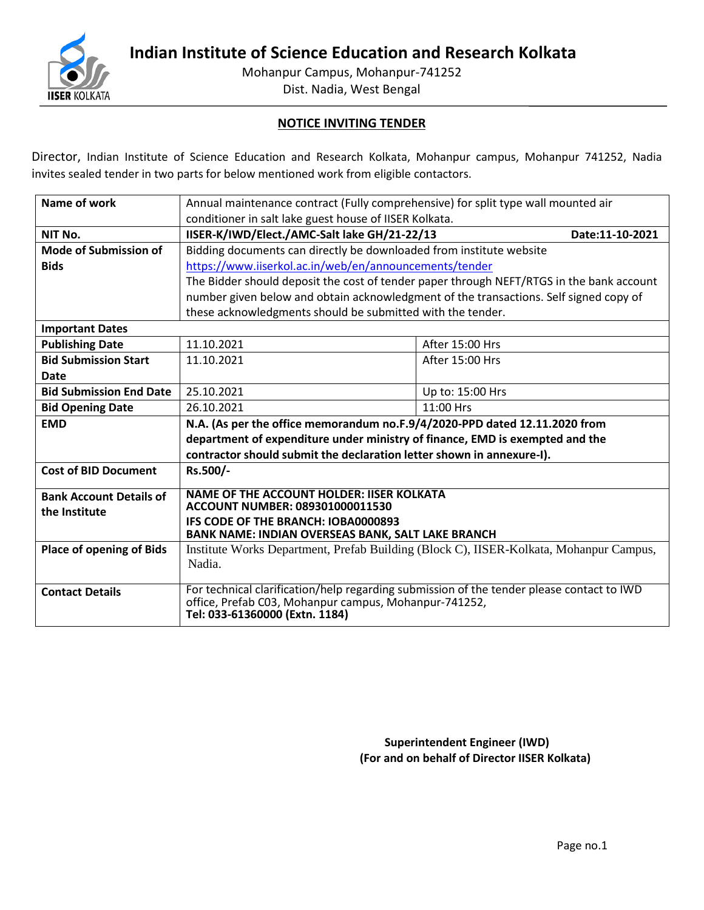

**Indian Institute of Science Education and Research Kolkata**

Mohanpur Campus, Mohanpur-741252

Dist. Nadia, West Bengal

## **NOTICE INVITING TENDER**

Director, Indian Institute of Science Education and Research Kolkata, Mohanpur campus, Mohanpur 741252, Nadia invites sealed tender in two parts for below mentioned work from eligible contactors.

| Name of work                    | Annual maintenance contract (Fully comprehensive) for split type wall mounted air                                                                  |                 |  |  |
|---------------------------------|----------------------------------------------------------------------------------------------------------------------------------------------------|-----------------|--|--|
|                                 | conditioner in salt lake guest house of IISER Kolkata.                                                                                             |                 |  |  |
| NIT No.                         | IISER-K/IWD/Elect./AMC-Salt lake GH/21-22/13<br>Date:11-10-2021                                                                                    |                 |  |  |
| Mode of Submission of           | Bidding documents can directly be downloaded from institute website                                                                                |                 |  |  |
| <b>Bids</b>                     | https://www.iiserkol.ac.in/web/en/announcements/tender                                                                                             |                 |  |  |
|                                 | The Bidder should deposit the cost of tender paper through NEFT/RTGS in the bank account                                                           |                 |  |  |
|                                 | number given below and obtain acknowledgment of the transactions. Self signed copy of                                                              |                 |  |  |
|                                 | these acknowledgments should be submitted with the tender.                                                                                         |                 |  |  |
| <b>Important Dates</b>          |                                                                                                                                                    |                 |  |  |
| <b>Publishing Date</b>          | 11.10.2021                                                                                                                                         | After 15:00 Hrs |  |  |
| <b>Bid Submission Start</b>     | 11.10.2021                                                                                                                                         | After 15:00 Hrs |  |  |
| Date                            |                                                                                                                                                    |                 |  |  |
| <b>Bid Submission End Date</b>  | 25.10.2021<br>Up to: 15:00 Hrs                                                                                                                     |                 |  |  |
| <b>Bid Opening Date</b>         | 26.10.2021                                                                                                                                         | 11:00 Hrs       |  |  |
| <b>EMD</b>                      | N.A. (As per the office memorandum no.F.9/4/2020-PPD dated 12.11.2020 from                                                                         |                 |  |  |
|                                 | department of expenditure under ministry of finance, EMD is exempted and the                                                                       |                 |  |  |
|                                 | contractor should submit the declaration letter shown in annexure-I).                                                                              |                 |  |  |
| <b>Cost of BID Document</b>     | Rs.500/-                                                                                                                                           |                 |  |  |
| <b>Bank Account Details of</b>  | <b>NAME OF THE ACCOUNT HOLDER: IISER KOLKATA</b>                                                                                                   |                 |  |  |
| the Institute                   | ACCOUNT NUMBER: 089301000011530                                                                                                                    |                 |  |  |
|                                 | IFS CODE OF THE BRANCH: IOBA0000893                                                                                                                |                 |  |  |
| <b>Place of opening of Bids</b> | BANK NAME: INDIAN OVERSEAS BANK, SALT LAKE BRANCH                                                                                                  |                 |  |  |
|                                 | Institute Works Department, Prefab Building (Block C), IISER-Kolkata, Mohanpur Campus,<br>Nadia.                                                   |                 |  |  |
|                                 |                                                                                                                                                    |                 |  |  |
| <b>Contact Details</b>          | For technical clarification/help regarding submission of the tender please contact to IWD<br>office, Prefab C03, Mohanpur campus, Mohanpur-741252, |                 |  |  |
|                                 | Tel: 033-61360000 (Extn. 1184)                                                                                                                     |                 |  |  |

**Superintendent Engineer (IWD) (For and on behalf of Director IISER Kolkata)**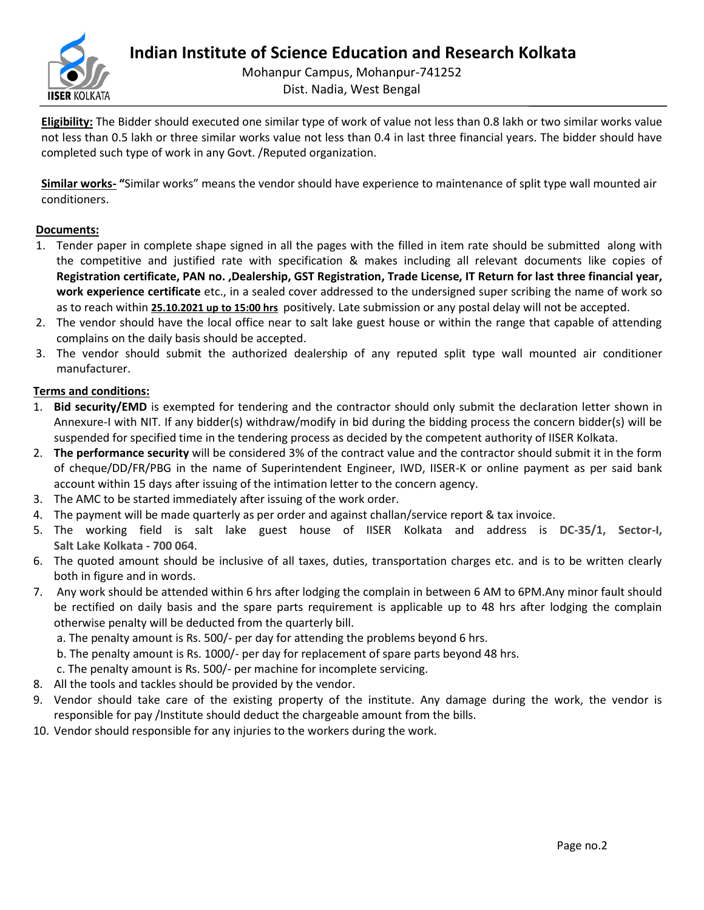

**Eligibility:** The Bidder should executed one similar type of work of value not less than 0.8 lakh or two similar works value not less than 0.5 lakh or three similar works value not less than 0.4 in last three financial years. The bidder should have completed such type of work in any Govt. /Reputed organization.

**Similar works- "**Similar works" means the vendor should have experience to maintenance of split type wall mounted air conditioners.

## **Documents:**

- 1. Tender paper in complete shape signed in all the pages with the filled in item rate should be submitted along with the competitive and justified rate with specification & makes including all relevant documents like copies of **Registration certificate, PAN no. ,Dealership, GST Registration, Trade License, IT Return for last three financial year, work experience certificate** etc., in a sealed cover addressed to the undersigned super scribing the name of work so as to reach within **25.10.2021 up to 15:00 hrs** positively. Late submission or any postal delay will not be accepted.
- 2. The vendor should have the local office near to salt lake guest house or within the range that capable of attending complains on the daily basis should be accepted.
- 3. The vendor should submit the authorized dealership of any reputed split type wall mounted air conditioner manufacturer.

#### **Terms and conditions:**

- 1. **Bid security/EMD** is exempted for tendering and the contractor should only submit the declaration letter shown in Annexure-I with NIT. If any bidder(s) withdraw/modify in bid during the bidding process the concern bidder(s) will be suspended for specified time in the tendering process as decided by the competent authority of IISER Kolkata.
- 2. **The performance security** will be considered 3% of the contract value and the contractor should submit it in the form of cheque/DD/FR/PBG in the name of Superintendent Engineer, IWD, IISER-K or online payment as per said bank account within 15 days after issuing of the intimation letter to the concern agency.
- 3. The AMC to be started immediately after issuing of the work order.
- 4. The payment will be made quarterly as per order and against challan/service report & tax invoice.
- 5. The working field is salt lake guest house of IISER Kolkata and address is **DC-35/1, Sector-I, Salt Lake Kolkata - 700 064**.
- 6. The quoted amount should be inclusive of all taxes, duties, transportation charges etc. and is to be written clearly both in figure and in words.
- 7. Any work should be attended within 6 hrs after lodging the complain in between 6 AM to 6PM.Any minor fault should be rectified on daily basis and the spare parts requirement is applicable up to 48 hrs after lodging the complain otherwise penalty will be deducted from the quarterly bill.
	- a. The penalty amount is Rs. 500/- per day for attending the problems beyond 6 hrs.
	- b. The penalty amount is Rs. 1000/- per day for replacement of spare parts beyond 48 hrs.
	- c. The penalty amount is Rs. 500/- per machine for incomplete servicing.
- 8. All the tools and tackles should be provided by the vendor.
- 9. Vendor should take care of the existing property of the institute. Any damage during the work, the vendor is responsible for pay /Institute should deduct the chargeable amount from the bills.
- 10. Vendor should responsible for any injuries to the workers during the work.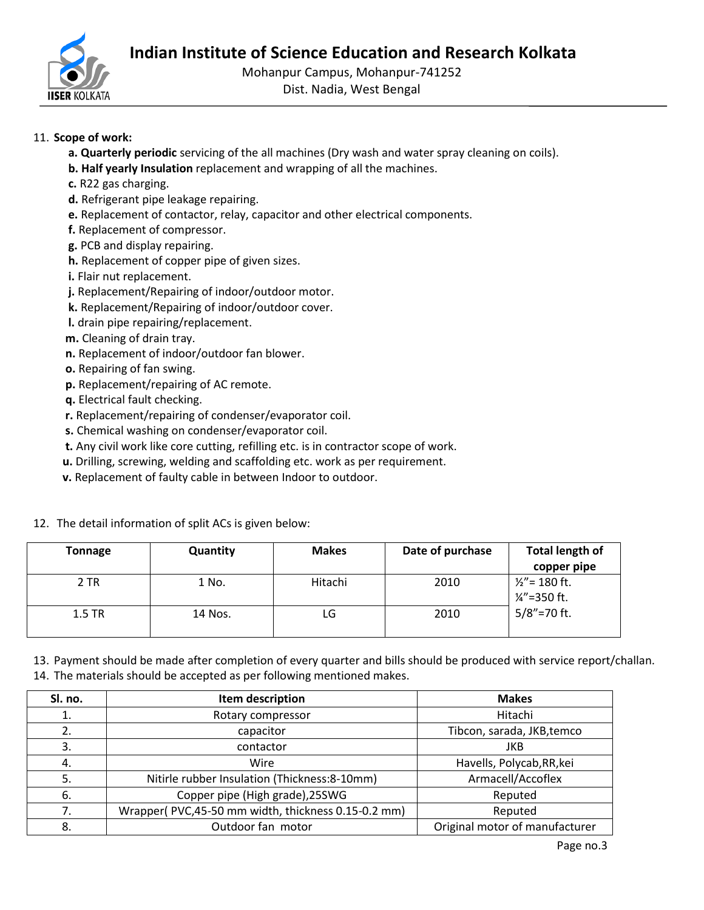

Mohanpur Campus, Mohanpur-741252

Dist. Nadia, West Bengal

## 11. **Scope of work:**

- **a. Quarterly periodic** servicing of the all machines (Dry wash and water spray cleaning on coils).
- **b. Half yearly Insulation** replacement and wrapping of all the machines.
- **c.** R22 gas charging.
- **d.** Refrigerant pipe leakage repairing.
- **e.** Replacement of contactor, relay, capacitor and other electrical components.
- **f.** Replacement of compressor.
- **g.** PCB and display repairing.
- **h.** Replacement of copper pipe of given sizes.
- **i.** Flair nut replacement.
- **j.** Replacement/Repairing of indoor/outdoor motor.
- **k.** Replacement/Repairing of indoor/outdoor cover.
- **l.** drain pipe repairing/replacement.
- **m.** Cleaning of drain tray.
- **n.** Replacement of indoor/outdoor fan blower.
- **o.** Repairing of fan swing.
- **p.** Replacement/repairing of AC remote.
- **q.** Electrical fault checking.
- **r.** Replacement/repairing of condenser/evaporator coil.
- **s.** Chemical washing on condenser/evaporator coil.
- **t.** Any civil work like core cutting, refilling etc. is in contractor scope of work.
- **u.** Drilling, screwing, welding and scaffolding etc. work as per requirement.
- **v.** Replacement of faulty cable in between Indoor to outdoor.

12. The detail information of split ACs is given below:

| Tonnage  | <b>Quantity</b> | <b>Makes</b> | Date of purchase | <b>Total length of</b><br>copper pipe        |
|----------|-----------------|--------------|------------------|----------------------------------------------|
| 2 TR     | 1 No.           | Hitachi      | 2010             | $1/2$ " = 180 ft.<br>$\frac{1}{4}$ = 350 ft. |
| $1.5$ TR | 14 Nos.         | LG           | 2010             | $5/8$ " = 70 ft.                             |

13. Payment should be made after completion of every quarter and bills should be produced with service report/challan. 14. The materials should be accepted as per following mentioned makes.

| Sl. no. | Item description                                   | <b>Makes</b>                   |
|---------|----------------------------------------------------|--------------------------------|
| 1.      | Rotary compressor                                  | Hitachi                        |
| 2.      | capacitor                                          | Tibcon, sarada, JKB, temco     |
| 3.      | contactor                                          | JKB                            |
| 4.      | Wire                                               | Havells, Polycab, RR, kei      |
| -5.     | Nitirle rubber Insulation (Thickness: 8-10mm)      | Armacell/Accoflex              |
| 6.      | Copper pipe (High grade), 25SWG                    | Reputed                        |
| 7.      | Wrapper(PVC,45-50 mm width, thickness 0.15-0.2 mm) | Reputed                        |
| 8.      | Outdoor fan motor                                  | Original motor of manufacturer |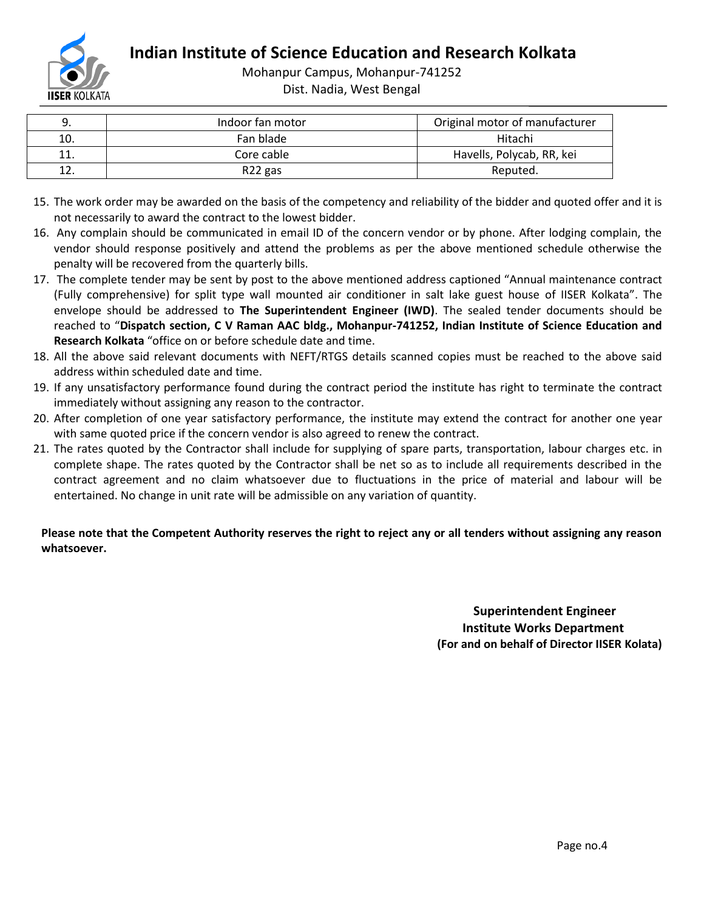

**Indian Institute of Science Education and Research Kolkata**

Mohanpur Campus, Mohanpur-741252

Dist. Nadia, West Bengal

|     | Indoor fan motor    | Original motor of manufacturer |
|-----|---------------------|--------------------------------|
| 10. | Fan blade           | Hitachi                        |
| ᆂᆂ  | Core cable          | Havells, Polycab, RR, kei      |
|     | R <sub>22</sub> gas | Reputed.                       |

- 15. The work order may be awarded on the basis of the competency and reliability of the bidder and quoted offer and it is not necessarily to award the contract to the lowest bidder.
- 16. Any complain should be communicated in email ID of the concern vendor or by phone. After lodging complain, the vendor should response positively and attend the problems as per the above mentioned schedule otherwise the penalty will be recovered from the quarterly bills.
- 17. The complete tender may be sent by post to the above mentioned address captioned "Annual maintenance contract (Fully comprehensive) for split type wall mounted air conditioner in salt lake guest house of IISER Kolkata". The envelope should be addressed to **The Superintendent Engineer (IWD)**. The sealed tender documents should be reached to "**Dispatch section, C V Raman AAC bldg., Mohanpur-741252, Indian Institute of Science Education and Research Kolkata** "office on or before schedule date and time.
- 18. All the above said relevant documents with NEFT/RTGS details scanned copies must be reached to the above said address within scheduled date and time.
- 19. If any unsatisfactory performance found during the contract period the institute has right to terminate the contract immediately without assigning any reason to the contractor.
- 20. After completion of one year satisfactory performance, the institute may extend the contract for another one year with same quoted price if the concern vendor is also agreed to renew the contract.
- 21. The rates quoted by the Contractor shall include for supplying of spare parts, transportation, labour charges etc. in complete shape. The rates quoted by the Contractor shall be net so as to include all requirements described in the contract agreement and no claim whatsoever due to fluctuations in the price of material and labour will be entertained. No change in unit rate will be admissible on any variation of quantity.

## **Please note that the Competent Authority reserves the right to reject any or all tenders without assigning any reason whatsoever.**

 **Superintendent Engineer Institute Works Department (For and on behalf of Director IISER Kolata)**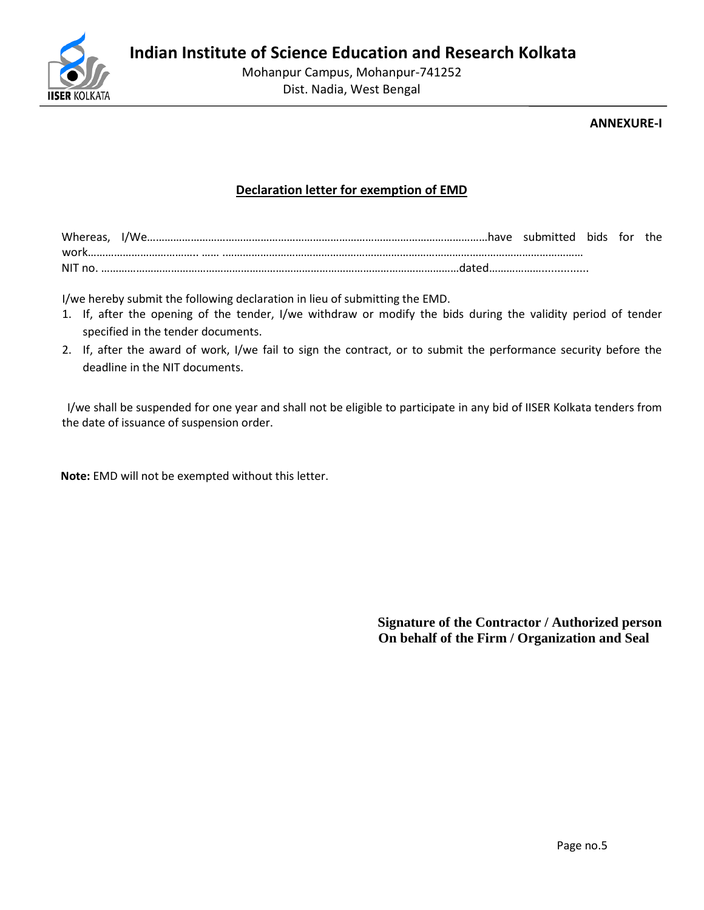

## **ANNEXURE-I**

## **Declaration letter for exemption of EMD**

| whereas, | .have<br>W. | submitted | bids | tor | the |
|----------|-------------|-----------|------|-----|-----|
| wr       |             |           |      |     |     |
| nc<br>NL |             |           |      |     |     |

I/we hereby submit the following declaration in lieu of submitting the EMD.

- 1. If, after the opening of the tender, I/we withdraw or modify the bids during the validity period of tender specified in the tender documents.
- 2. If, after the award of work, I/we fail to sign the contract, or to submit the performance security before the deadline in the NIT documents.

 I/we shall be suspended for one year and shall not be eligible to participate in any bid of IISER Kolkata tenders from the date of issuance of suspension order.

 **Note:** EMD will not be exempted without this letter.

**Signature of the Contractor / Authorized person On behalf of the Firm / Organization and Seal**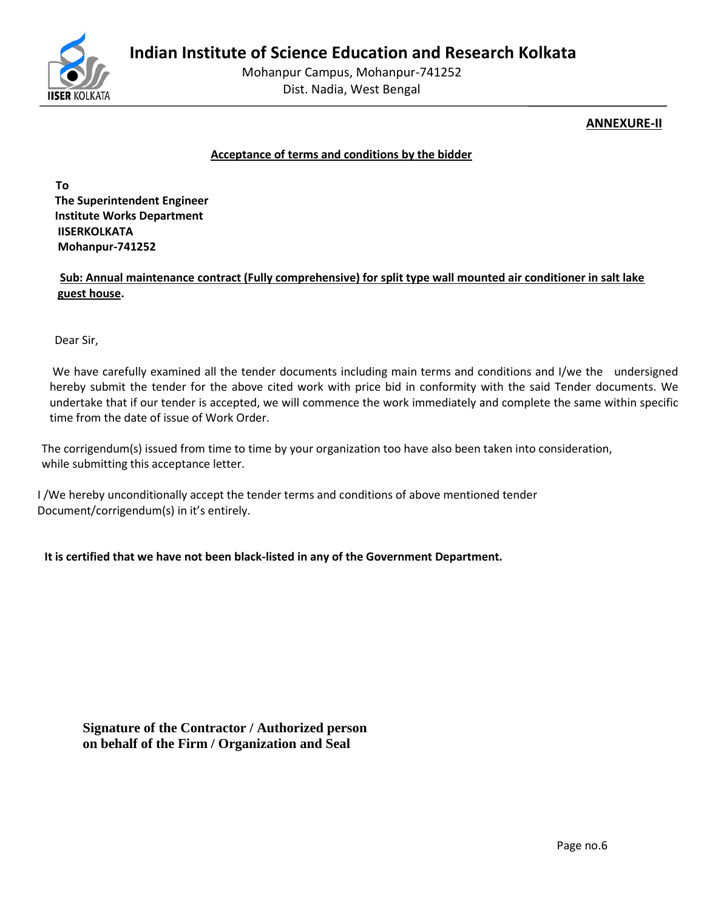

## **ANNEXURE-II**

#### **Acceptance of terms and conditions by the bidder**

 **To The Superintendent Engineer Institute Works Department IISERKOLKATA Mohanpur-741252**

 **Sub: Annual maintenance contract (Fully comprehensive) for split type wall mounted air conditioner in salt lake guest house.**

Dear Sir,

We have carefully examined all the tender documents including main terms and conditions and I/we the undersigned hereby submit the tender for the above cited work with price bid in conformity with the said Tender documents. We undertake that if our tender is accepted, we will commence the work immediately and complete the same within specific time from the date of issue of Work Order.

 The corrigendum(s) issued from time to time by your organization too have also been taken into consideration, while submitting this acceptance letter.

 I /We hereby unconditionally accept the tender terms and conditions of above mentioned tender Document/corrigendum(s) in it's entirely.

**It is certified that we have not been black-listed in any of the Government Department.** 

**Signature of the Contractor / Authorized person on behalf of the Firm / Organization and Seal**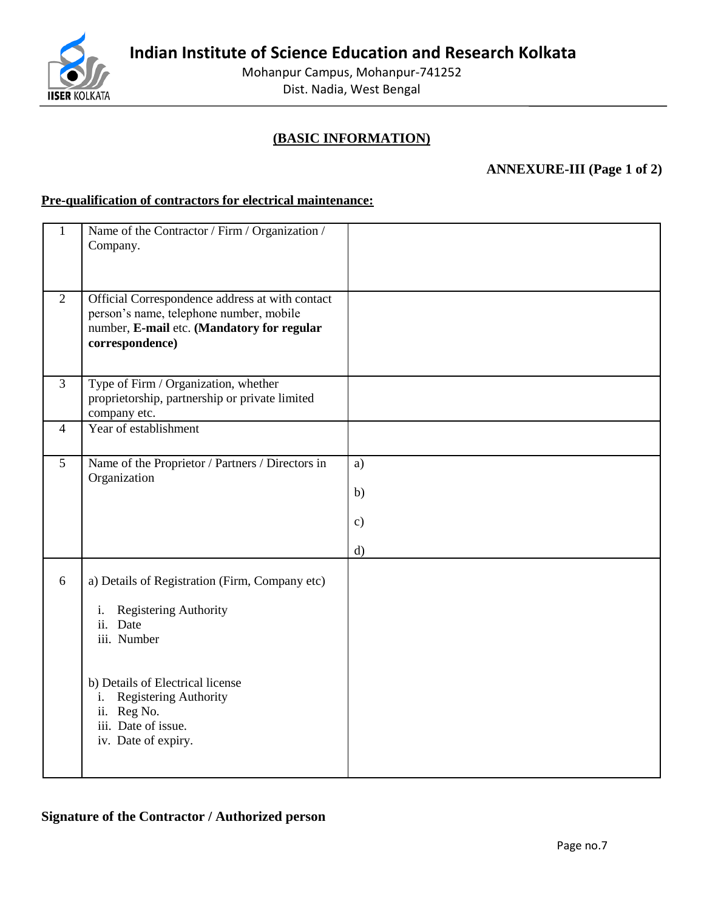**Indian Institute of Science Education and Research Kolkata**



Mohanpur Campus, Mohanpur-741252 Dist. Nadia, West Bengal

## **(BASIC INFORMATION)**

## **ANNEXURE-III (Page 1 of 2)**

## **Pre-qualification of contractors for electrical maintenance:**

| $\mathbf{1}$   | Name of the Contractor / Firm / Organization /<br>Company.                                                                                                                                                                               |                                 |
|----------------|------------------------------------------------------------------------------------------------------------------------------------------------------------------------------------------------------------------------------------------|---------------------------------|
| 2              | Official Correspondence address at with contact<br>person's name, telephone number, mobile<br>number, E-mail etc. (Mandatory for regular<br>correspondence)                                                                              |                                 |
| $\overline{3}$ | Type of Firm / Organization, whether<br>proprietorship, partnership or private limited<br>company etc.                                                                                                                                   |                                 |
| 4              | Year of establishment                                                                                                                                                                                                                    |                                 |
| 5              | Name of the Proprietor / Partners / Directors in<br>Organization                                                                                                                                                                         | a)<br>b)<br>$\mathbf{c})$<br>d) |
| 6              | a) Details of Registration (Firm, Company etc)<br>Registering Authority<br>i.<br>ii. Date<br>iii. Number<br>b) Details of Electrical license<br>Registering Authority<br>i.<br>ii. Reg No.<br>iii. Date of issue.<br>iv. Date of expiry. |                                 |

## **Signature of the Contractor / Authorized person**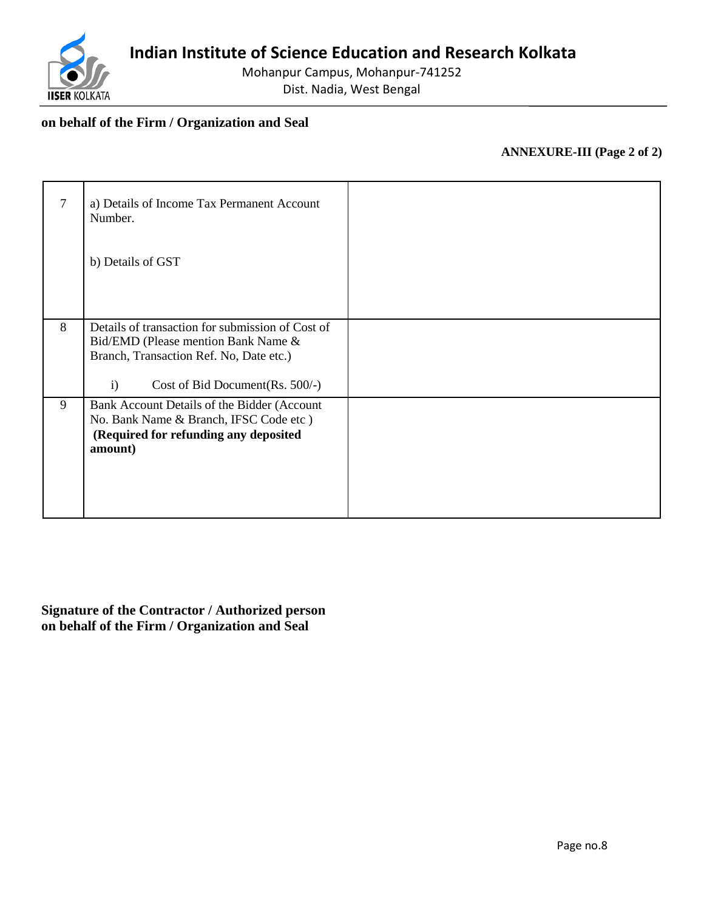

## **on behalf of the Firm / Organization and Seal**

## **ANNEXURE-III (Page 2 of 2)**

| 7 | a) Details of Income Tax Permanent Account<br>Number.<br>b) Details of GST                                                                |  |
|---|-------------------------------------------------------------------------------------------------------------------------------------------|--|
| 8 | Details of transaction for submission of Cost of                                                                                          |  |
|   | Bid/EMD (Please mention Bank Name &<br>Branch, Transaction Ref. No, Date etc.)                                                            |  |
|   | $\mathbf{i}$<br>Cost of Bid Document (Rs. $500/-$ )                                                                                       |  |
| 9 | Bank Account Details of the Bidder (Account<br>No. Bank Name & Branch, IFSC Code etc)<br>(Required for refunding any deposited<br>amount) |  |

**Signature of the Contractor / Authorized person on behalf of the Firm / Organization and Seal**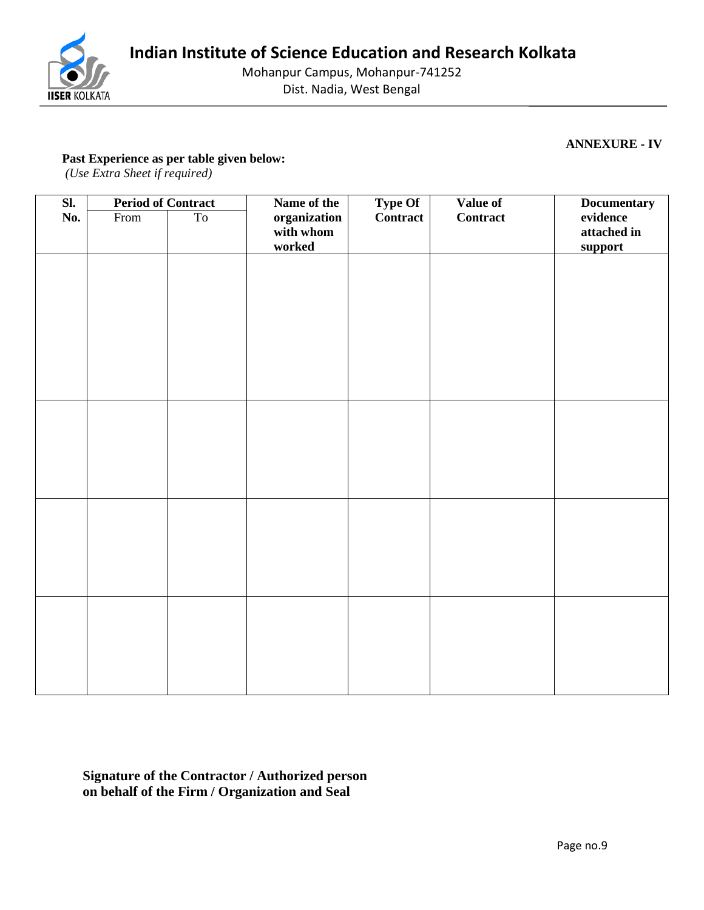

Mohanpur Campus, Mohanpur-741252

Dist. Nadia, West Bengal

**ANNEXURE - IV**

## **Past Experience as per table given below:**

*(Use Extra Sheet if required)*

| $\overline{\text{SL}}$ | <b>Period of Contract</b> |    | Name of the                         | <b>Type Of</b> | Value of        | <b>Documentary</b>                 |
|------------------------|---------------------------|----|-------------------------------------|----------------|-----------------|------------------------------------|
| No.                    | From                      | To | organization<br>with whom<br>worked | Contract       | <b>Contract</b> | evidence<br>attached in<br>support |
|                        |                           |    |                                     |                |                 |                                    |
|                        |                           |    |                                     |                |                 |                                    |
|                        |                           |    |                                     |                |                 |                                    |
|                        |                           |    |                                     |                |                 |                                    |
|                        |                           |    |                                     |                |                 |                                    |
|                        |                           |    |                                     |                |                 |                                    |
|                        |                           |    |                                     |                |                 |                                    |
|                        |                           |    |                                     |                |                 |                                    |
|                        |                           |    |                                     |                |                 |                                    |
|                        |                           |    |                                     |                |                 |                                    |
|                        |                           |    |                                     |                |                 |                                    |
|                        |                           |    |                                     |                |                 |                                    |
|                        |                           |    |                                     |                |                 |                                    |

**Signature of the Contractor / Authorized person on behalf of the Firm / Organization and Seal**